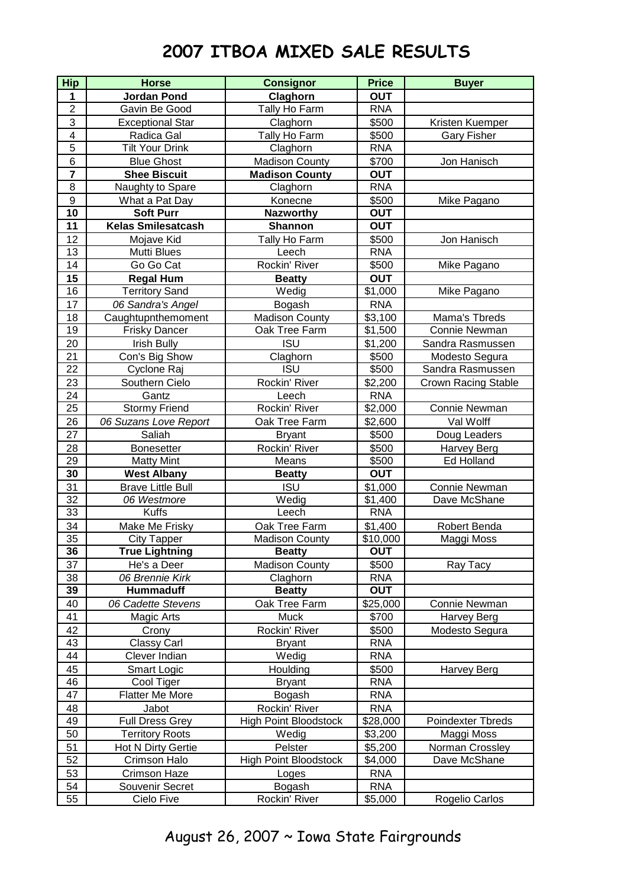## **2007 ITBOA MIXED SALE RESULTS**

| <b>Hip</b>      | <b>Horse</b>              | <b>Consignor</b>             | <b>Price</b> | <b>Buyer</b>        |
|-----------------|---------------------------|------------------------------|--------------|---------------------|
| 1               | <b>Jordan Pond</b>        | Claghorn                     | <b>OUT</b>   |                     |
| $\overline{2}$  | Gavin Be Good             | Tally Ho Farm                | <b>RNA</b>   |                     |
| 3               | <b>Exceptional Star</b>   | Claghorn                     | \$500        | Kristen Kuemper     |
| 4               | Radica Gal                | Tally Ho Farm                | \$500        | <b>Gary Fisher</b>  |
| 5               | <b>Tilt Your Drink</b>    | Claghorn                     | <b>RNA</b>   |                     |
| 6               | <b>Blue Ghost</b>         | <b>Madison County</b>        | \$700        | Jon Hanisch         |
| $\overline{7}$  | <b>Shee Biscuit</b>       | <b>Madison County</b>        | <b>OUT</b>   |                     |
| 8               | Naughty to Spare          | Claghorn                     | <b>RNA</b>   |                     |
| 9               | What a Pat Day            | Konecne                      | \$500        | Mike Pagano         |
| 10              | <b>Soft Purr</b>          | <b>Nazworthy</b>             | <b>OUT</b>   |                     |
| 11              | <b>Kelas Smilesatcash</b> | <b>Shannon</b>               | <b>OUT</b>   |                     |
| 12              | Mojave Kid                | Tally Ho Farm                | \$500        | Jon Hanisch         |
| 13              | Mutti Blues               | Leech                        | <b>RNA</b>   |                     |
| 14              | Go Go Cat                 | Rockin' River                | \$500        | Mike Pagano         |
| 15              | <b>Regal Hum</b>          | <b>Beatty</b>                | <b>OUT</b>   |                     |
| 16              | <b>Territory Sand</b>     | Wedig                        | \$1,000      | Mike Pagano         |
| 17              | 06 Sandra's Angel         | Bogash                       | <b>RNA</b>   |                     |
| 18              | Caughtupnthemoment        | <b>Madison County</b>        | \$3,100      | Mama's Tbreds       |
| 19              | <b>Frisky Dancer</b>      | Oak Tree Farm                | \$1,500      | Connie Newman       |
| 20              | <b>Irish Bully</b>        | <b>ISU</b>                   | \$1,200      | Sandra Rasmussen    |
| 21              | Con's Big Show            | Claghorn                     | \$500        | Modesto Segura      |
| 22              | Cyclone Raj               | <b>ISU</b>                   | \$500        | Sandra Rasmussen    |
| 23              | Southern Cielo            | Rockin' River                | \$2,200      | Crown Racing Stable |
| 24              | Gantz                     | Leech                        | <b>RNA</b>   |                     |
| $\overline{25}$ | <b>Stormy Friend</b>      | Rockin' River                | \$2,000      | Connie Newman       |
| 26              | 06 Suzans Love Report     | Oak Tree Farm                | \$2,600      | Val Wolff           |
| 27              | Saliah                    | <b>Bryant</b>                | \$500        | Doug Leaders        |
| 28              | <b>Bonesetter</b>         | Rockin' River                | \$500        | <b>Harvey Berg</b>  |
| 29              | <b>Matty Mint</b>         | Means                        | \$500        | <b>Ed Holland</b>   |
| $\overline{30}$ | <b>West Albany</b>        | <b>Beatty</b>                | <b>OUT</b>   |                     |
| 31              | <b>Brave Little Bull</b>  | <b>ISU</b>                   | \$1,000      | Connie Newman       |
| 32              | 06 Westmore               | Wedig                        | \$1,400      | Dave McShane        |
| 33              | Kuffs                     | Leech                        | <b>RNA</b>   |                     |
| 34              | Make Me Frisky            | Oak Tree Farm                | \$1,400      | Robert Benda        |
| 35              | City Tapper               | <b>Madison County</b>        | \$10,000     | Maggi Moss          |
| 36              | <b>True Lightning</b>     | <b>Beatty</b>                | <b>OUT</b>   |                     |
| 37              | He's a Deer               | <b>Madison County</b>        | \$500        | Ray Tacy            |
| 38              | 06 Brennie Kirk           | Claghorn                     | <b>RNA</b>   |                     |
| 39              | <b>Hummaduff</b>          | <b>Beatty</b>                | <b>OUT</b>   |                     |
| 40              | 06 Cadette Stevens        | Oak Tree Farm                | \$25,000     | Connie Newman       |
| 41              | Magic Arts                | <b>Muck</b>                  | \$700        | Harvey Berg         |
| 42              | Crony                     | Rockin' River                | \$500        | Modesto Segura      |
| 43              | <b>Classy Carl</b>        | <b>Bryant</b>                | <b>RNA</b>   |                     |
| 44              | Clever Indian             | Wedig                        | <b>RNA</b>   |                     |
| 45              | Smart Logic               | Houlding                     | \$500        | Harvey Berg         |
| 46              | Cool Tiger                | <b>Bryant</b>                | <b>RNA</b>   |                     |
| 47              | <b>Flatter Me More</b>    | Bogash                       | <b>RNA</b>   |                     |
| 48              | Jabot                     | Rockin' River                | <b>RNA</b>   |                     |
| 49              | <b>Full Dress Grey</b>    | <b>High Point Bloodstock</b> | \$28,000     | Poindexter Tbreds   |
| 50              | <b>Territory Roots</b>    | Wedig                        | \$3,200      | Maggi Moss          |
| 51              | Hot N Dirty Gertie        | Pelster                      | \$5,200      | Norman Crossley     |
| 52              | Crimson Halo              | <b>High Point Bloodstock</b> | \$4,000      | Dave McShane        |
| 53              | <b>Crimson Haze</b>       | Loges                        | <b>RNA</b>   |                     |
| 54              | Souvenir Secret           | Bogash                       | <b>RNA</b>   |                     |
| 55              | Cielo Five                | Rockin' River                | \$5,000      | Rogelio Carlos      |
|                 |                           |                              |              |                     |